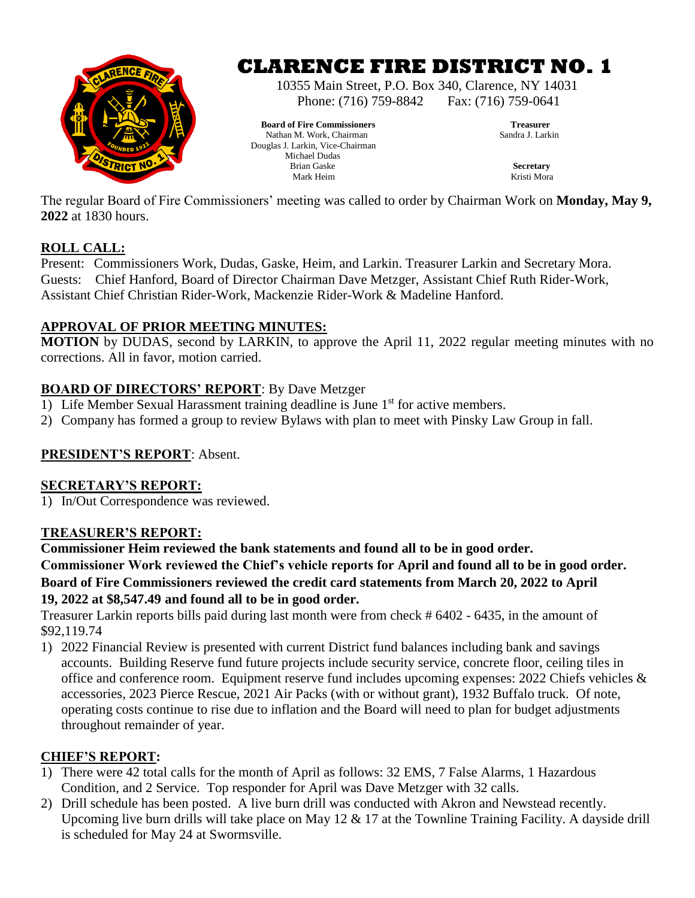

# **CLARENCE FIRE DISTRICT NO. 1**

10355 Main Street, P.O. Box 340, Clarence, NY 14031 Phone: (716) 759-8842 Fax: (716) 759-0641

**Board of Fire Commissioners** Treasurer<br> **Rathan M. Work. Chairman** Nathan M. Work, Chairman Douglas J. Larkin, Vice-Chairman Michael Dudas<br>Brian Gaske Brian Gaske **Secretary** Mark Heim Kristi Mora

The regular Board of Fire Commissioners' meeting was called to order by Chairman Work on **Monday, May 9, 2022** at 1830 hours.

# **ROLL CALL:**

Present: Commissioners Work, Dudas, Gaske, Heim, and Larkin. Treasurer Larkin and Secretary Mora. Guests: Chief Hanford, Board of Director Chairman Dave Metzger, Assistant Chief Ruth Rider-Work, Assistant Chief Christian Rider-Work, Mackenzie Rider-Work & Madeline Hanford.

### **APPROVAL OF PRIOR MEETING MINUTES:**

**MOTION** by DUDAS, second by LARKIN, to approve the April 11, 2022 regular meeting minutes with no corrections. All in favor, motion carried.

# **BOARD OF DIRECTORS' REPORT**: By Dave Metzger

- 1) Life Member Sexual Harassment training deadline is June  $1<sup>st</sup>$  for active members.
- 2) Company has formed a group to review Bylaws with plan to meet with Pinsky Law Group in fall.

### **PRESIDENT'S REPORT**: Absent.

### **SECRETARY'S REPORT:**

1) In/Out Correspondence was reviewed.

### **TREASURER'S REPORT:**

**Commissioner Heim reviewed the bank statements and found all to be in good order. Commissioner Work reviewed the Chief's vehicle reports for April and found all to be in good order. Board of Fire Commissioners reviewed the credit card statements from March 20, 2022 to April 19, 2022 at \$8,547.49 and found all to be in good order.**

Treasurer Larkin reports bills paid during last month were from check # 6402 - 6435, in the amount of \$92,119.74

1) 2022 Financial Review is presented with current District fund balances including bank and savings accounts. Building Reserve fund future projects include security service, concrete floor, ceiling tiles in office and conference room. Equipment reserve fund includes upcoming expenses: 2022 Chiefs vehicles & accessories, 2023 Pierce Rescue, 2021 Air Packs (with or without grant), 1932 Buffalo truck. Of note, operating costs continue to rise due to inflation and the Board will need to plan for budget adjustments throughout remainder of year.

# **CHIEF'S REPORT:**

- 1) There were 42 total calls for the month of April as follows: 32 EMS, 7 False Alarms, 1 Hazardous Condition, and 2 Service. Top responder for April was Dave Metzger with 32 calls.
- 2) Drill schedule has been posted. A live burn drill was conducted with Akron and Newstead recently. Upcoming live burn drills will take place on May 12 & 17 at the Townline Training Facility. A dayside drill is scheduled for May 24 at Swormsville.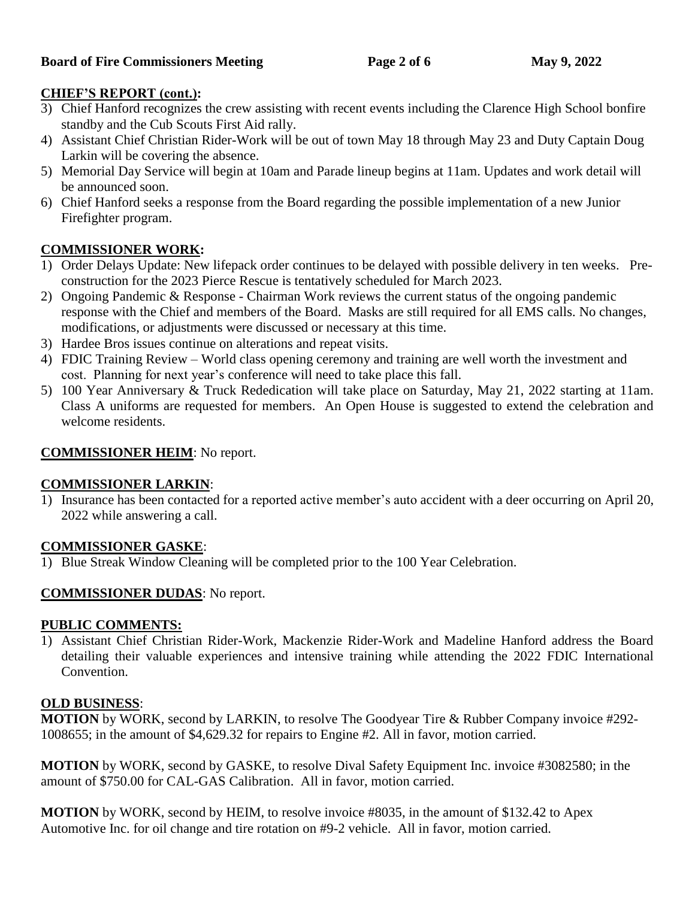# **CHIEF'S REPORT (cont.):**

- 3) Chief Hanford recognizes the crew assisting with recent events including the Clarence High School bonfire standby and the Cub Scouts First Aid rally.
- 4) Assistant Chief Christian Rider-Work will be out of town May 18 through May 23 and Duty Captain Doug Larkin will be covering the absence.
- 5) Memorial Day Service will begin at 10am and Parade lineup begins at 11am. Updates and work detail will be announced soon.
- 6) Chief Hanford seeks a response from the Board regarding the possible implementation of a new Junior Firefighter program.

# **COMMISSIONER WORK:**

- 1) Order Delays Update: New lifepack order continues to be delayed with possible delivery in ten weeks. Preconstruction for the 2023 Pierce Rescue is tentatively scheduled for March 2023.
- 2) Ongoing Pandemic & Response Chairman Work reviews the current status of the ongoing pandemic response with the Chief and members of the Board. Masks are still required for all EMS calls. No changes, modifications, or adjustments were discussed or necessary at this time.
- 3) Hardee Bros issues continue on alterations and repeat visits.
- 4) FDIC Training Review World class opening ceremony and training are well worth the investment and cost. Planning for next year's conference will need to take place this fall.
- 5) 100 Year Anniversary & Truck Rededication will take place on Saturday, May 21, 2022 starting at 11am. Class A uniforms are requested for members. An Open House is suggested to extend the celebration and welcome residents.

# **COMMISSIONER HEIM**: No report.

# **COMMISSIONER LARKIN**:

1) Insurance has been contacted for a reported active member's auto accident with a deer occurring on April 20, 2022 while answering a call.

# **COMMISSIONER GASKE**:

1) Blue Streak Window Cleaning will be completed prior to the 100 Year Celebration.

# **COMMISSIONER DUDAS**: No report.

### **PUBLIC COMMENTS:**

1) Assistant Chief Christian Rider-Work, Mackenzie Rider-Work and Madeline Hanford address the Board detailing their valuable experiences and intensive training while attending the 2022 FDIC International Convention.

### **OLD BUSINESS**:

**MOTION** by WORK, second by LARKIN, to resolve The Goodyear Tire & Rubber Company invoice #292- 1008655; in the amount of \$4,629.32 for repairs to Engine #2. All in favor, motion carried.

**MOTION** by WORK, second by GASKE, to resolve Dival Safety Equipment Inc. invoice #3082580; in the amount of \$750.00 for CAL-GAS Calibration. All in favor, motion carried.

**MOTION** by WORK, second by HEIM, to resolve invoice #8035, in the amount of \$132.42 to Apex Automotive Inc. for oil change and tire rotation on #9-2 vehicle. All in favor, motion carried.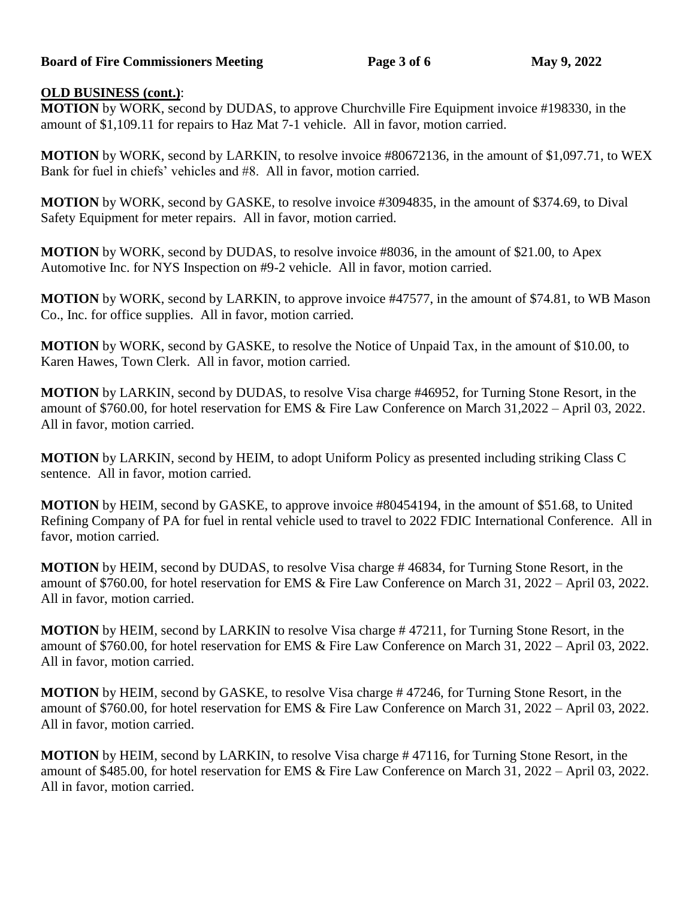#### **Board of Fire Commissioners Meeting Page 3 of 6 May 9, 2022**

#### **OLD BUSINESS (cont.)**:

**MOTION** by WORK, second by DUDAS, to approve Churchville Fire Equipment invoice #198330, in the amount of \$1,109.11 for repairs to Haz Mat 7-1 vehicle. All in favor, motion carried.

**MOTION** by WORK, second by LARKIN, to resolve invoice #80672136, in the amount of \$1,097.71, to WEX Bank for fuel in chiefs' vehicles and #8. All in favor, motion carried.

**MOTION** by WORK, second by GASKE, to resolve invoice #3094835, in the amount of \$374.69, to Dival Safety Equipment for meter repairs. All in favor, motion carried.

**MOTION** by WORK, second by DUDAS, to resolve invoice #8036, in the amount of \$21.00, to Apex Automotive Inc. for NYS Inspection on #9-2 vehicle. All in favor, motion carried.

**MOTION** by WORK, second by LARKIN, to approve invoice #47577, in the amount of \$74.81, to WB Mason Co., Inc. for office supplies. All in favor, motion carried.

**MOTION** by WORK, second by GASKE, to resolve the Notice of Unpaid Tax, in the amount of \$10.00, to Karen Hawes, Town Clerk. All in favor, motion carried.

**MOTION** by LARKIN, second by DUDAS, to resolve Visa charge #46952, for Turning Stone Resort, in the amount of \$760.00, for hotel reservation for EMS & Fire Law Conference on March 31,2022 – April 03, 2022. All in favor, motion carried.

**MOTION** by LARKIN, second by HEIM, to adopt Uniform Policy as presented including striking Class C sentence. All in favor, motion carried.

**MOTION** by HEIM, second by GASKE, to approve invoice #80454194, in the amount of \$51.68, to United Refining Company of PA for fuel in rental vehicle used to travel to 2022 FDIC International Conference. All in favor, motion carried.

**MOTION** by HEIM, second by DUDAS, to resolve Visa charge # 46834, for Turning Stone Resort, in the amount of \$760.00, for hotel reservation for EMS & Fire Law Conference on March 31, 2022 – April 03, 2022. All in favor, motion carried.

**MOTION** by HEIM, second by LARKIN to resolve Visa charge # 47211, for Turning Stone Resort, in the amount of \$760.00, for hotel reservation for EMS & Fire Law Conference on March 31, 2022 – April 03, 2022. All in favor, motion carried.

**MOTION** by HEIM, second by GASKE, to resolve Visa charge # 47246, for Turning Stone Resort, in the amount of \$760.00, for hotel reservation for EMS & Fire Law Conference on March 31, 2022 – April 03, 2022. All in favor, motion carried.

**MOTION** by HEIM, second by LARKIN, to resolve Visa charge # 47116, for Turning Stone Resort, in the amount of \$485.00, for hotel reservation for EMS & Fire Law Conference on March 31, 2022 – April 03, 2022. All in favor, motion carried.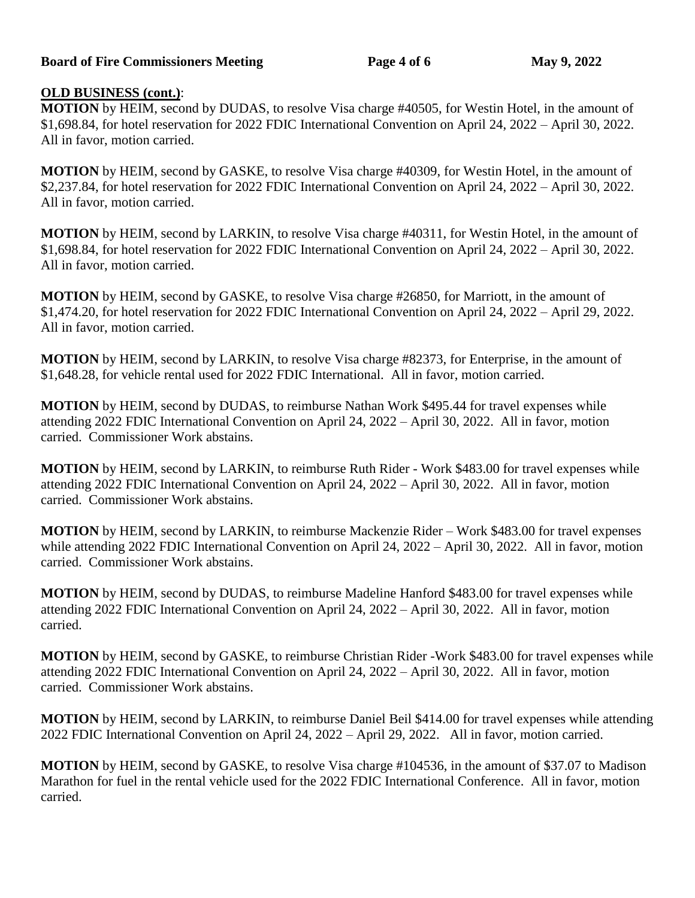#### **Board of Fire Commissioners Meeting Page 4 of 6 May 9, 2022**

#### **OLD BUSINESS (cont.)**:

**MOTION** by HEIM, second by DUDAS, to resolve Visa charge #40505, for Westin Hotel, in the amount of \$1,698.84, for hotel reservation for 2022 FDIC International Convention on April 24, 2022 – April 30, 2022. All in favor, motion carried.

**MOTION** by HEIM, second by GASKE, to resolve Visa charge #40309, for Westin Hotel, in the amount of \$2,237.84, for hotel reservation for 2022 FDIC International Convention on April 24, 2022 – April 30, 2022. All in favor, motion carried.

**MOTION** by HEIM, second by LARKIN, to resolve Visa charge #40311, for Westin Hotel, in the amount of \$1,698.84, for hotel reservation for 2022 FDIC International Convention on April 24, 2022 – April 30, 2022. All in favor, motion carried.

**MOTION** by HEIM, second by GASKE, to resolve Visa charge #26850, for Marriott, in the amount of \$1,474.20, for hotel reservation for 2022 FDIC International Convention on April 24, 2022 – April 29, 2022. All in favor, motion carried.

**MOTION** by HEIM, second by LARKIN, to resolve Visa charge #82373, for Enterprise, in the amount of \$1,648.28, for vehicle rental used for 2022 FDIC International. All in favor, motion carried.

**MOTION** by HEIM, second by DUDAS, to reimburse Nathan Work \$495.44 for travel expenses while attending 2022 FDIC International Convention on April 24, 2022 – April 30, 2022. All in favor, motion carried. Commissioner Work abstains.

**MOTION** by HEIM, second by LARKIN, to reimburse Ruth Rider - Work \$483.00 for travel expenses while attending 2022 FDIC International Convention on April 24, 2022 – April 30, 2022. All in favor, motion carried. Commissioner Work abstains.

**MOTION** by HEIM, second by LARKIN, to reimburse Mackenzie Rider – Work \$483.00 for travel expenses while attending 2022 FDIC International Convention on April 24, 2022 – April 30, 2022. All in favor, motion carried. Commissioner Work abstains.

**MOTION** by HEIM, second by DUDAS, to reimburse Madeline Hanford \$483.00 for travel expenses while attending 2022 FDIC International Convention on April 24, 2022 – April 30, 2022. All in favor, motion carried.

**MOTION** by HEIM, second by GASKE, to reimburse Christian Rider -Work \$483.00 for travel expenses while attending 2022 FDIC International Convention on April 24, 2022 – April 30, 2022. All in favor, motion carried. Commissioner Work abstains.

**MOTION** by HEIM, second by LARKIN, to reimburse Daniel Beil \$414.00 for travel expenses while attending 2022 FDIC International Convention on April 24, 2022 – April 29, 2022. All in favor, motion carried.

**MOTION** by HEIM, second by GASKE, to resolve Visa charge #104536, in the amount of \$37.07 to Madison Marathon for fuel in the rental vehicle used for the 2022 FDIC International Conference. All in favor, motion carried.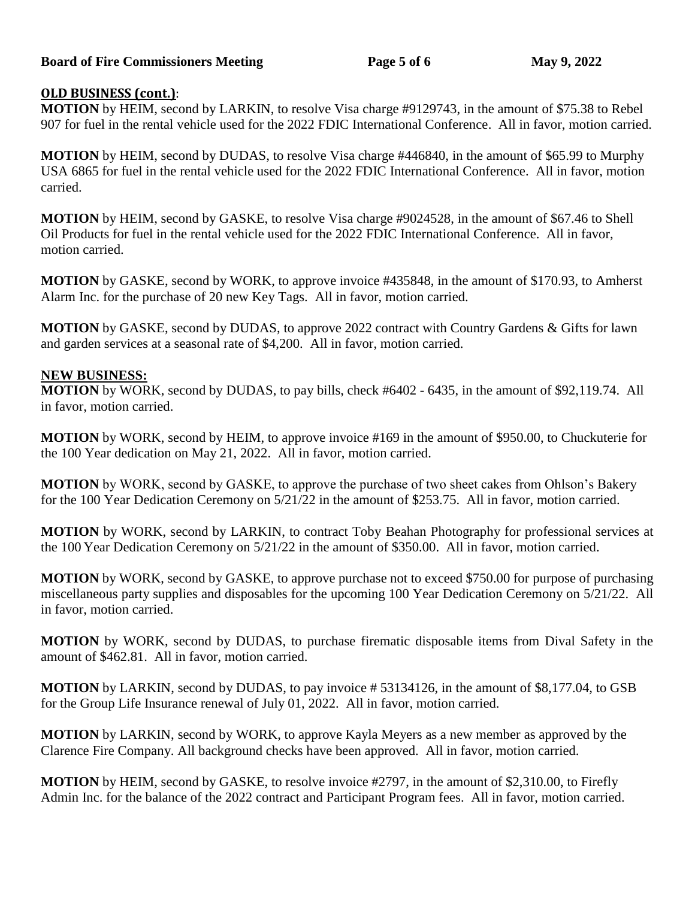#### **Board of Fire Commissioners Meeting Page 5 of 6 May 9, 2022**

#### **OLD BUSINESS (cont.)**:

**MOTION** by HEIM, second by LARKIN, to resolve Visa charge #9129743, in the amount of \$75.38 to Rebel 907 for fuel in the rental vehicle used for the 2022 FDIC International Conference. All in favor, motion carried.

**MOTION** by HEIM, second by DUDAS, to resolve Visa charge #446840, in the amount of \$65.99 to Murphy USA 6865 for fuel in the rental vehicle used for the 2022 FDIC International Conference. All in favor, motion carried.

**MOTION** by HEIM, second by GASKE, to resolve Visa charge #9024528, in the amount of \$67.46 to Shell Oil Products for fuel in the rental vehicle used for the 2022 FDIC International Conference. All in favor, motion carried.

**MOTION** by GASKE, second by WORK, to approve invoice #435848, in the amount of \$170.93, to Amherst Alarm Inc. for the purchase of 20 new Key Tags. All in favor, motion carried.

**MOTION** by GASKE, second by DUDAS, to approve 2022 contract with Country Gardens & Gifts for lawn and garden services at a seasonal rate of \$4,200. All in favor, motion carried.

#### **NEW BUSINESS:**

**MOTION** by WORK, second by DUDAS, to pay bills, check #6402 - 6435, in the amount of \$92,119.74. All in favor, motion carried.

**MOTION** by WORK, second by HEIM, to approve invoice #169 in the amount of \$950.00, to Chuckuterie for the 100 Year dedication on May 21, 2022. All in favor, motion carried.

**MOTION** by WORK, second by GASKE, to approve the purchase of two sheet cakes from Ohlson's Bakery for the 100 Year Dedication Ceremony on 5/21/22 in the amount of \$253.75. All in favor, motion carried.

**MOTION** by WORK, second by LARKIN, to contract Toby Beahan Photography for professional services at the 100 Year Dedication Ceremony on 5/21/22 in the amount of \$350.00. All in favor, motion carried.

**MOTION** by WORK, second by GASKE, to approve purchase not to exceed \$750.00 for purpose of purchasing miscellaneous party supplies and disposables for the upcoming 100 Year Dedication Ceremony on 5/21/22. All in favor, motion carried.

**MOTION** by WORK, second by DUDAS, to purchase firematic disposable items from Dival Safety in the amount of \$462.81. All in favor, motion carried.

**MOTION** by LARKIN, second by DUDAS, to pay invoice # 53134126, in the amount of \$8,177.04, to GSB for the Group Life Insurance renewal of July 01, 2022. All in favor, motion carried.

**MOTION** by LARKIN, second by WORK, to approve Kayla Meyers as a new member as approved by the Clarence Fire Company. All background checks have been approved. All in favor, motion carried.

**MOTION** by HEIM, second by GASKE, to resolve invoice #2797, in the amount of \$2,310.00, to Firefly Admin Inc. for the balance of the 2022 contract and Participant Program fees. All in favor, motion carried.